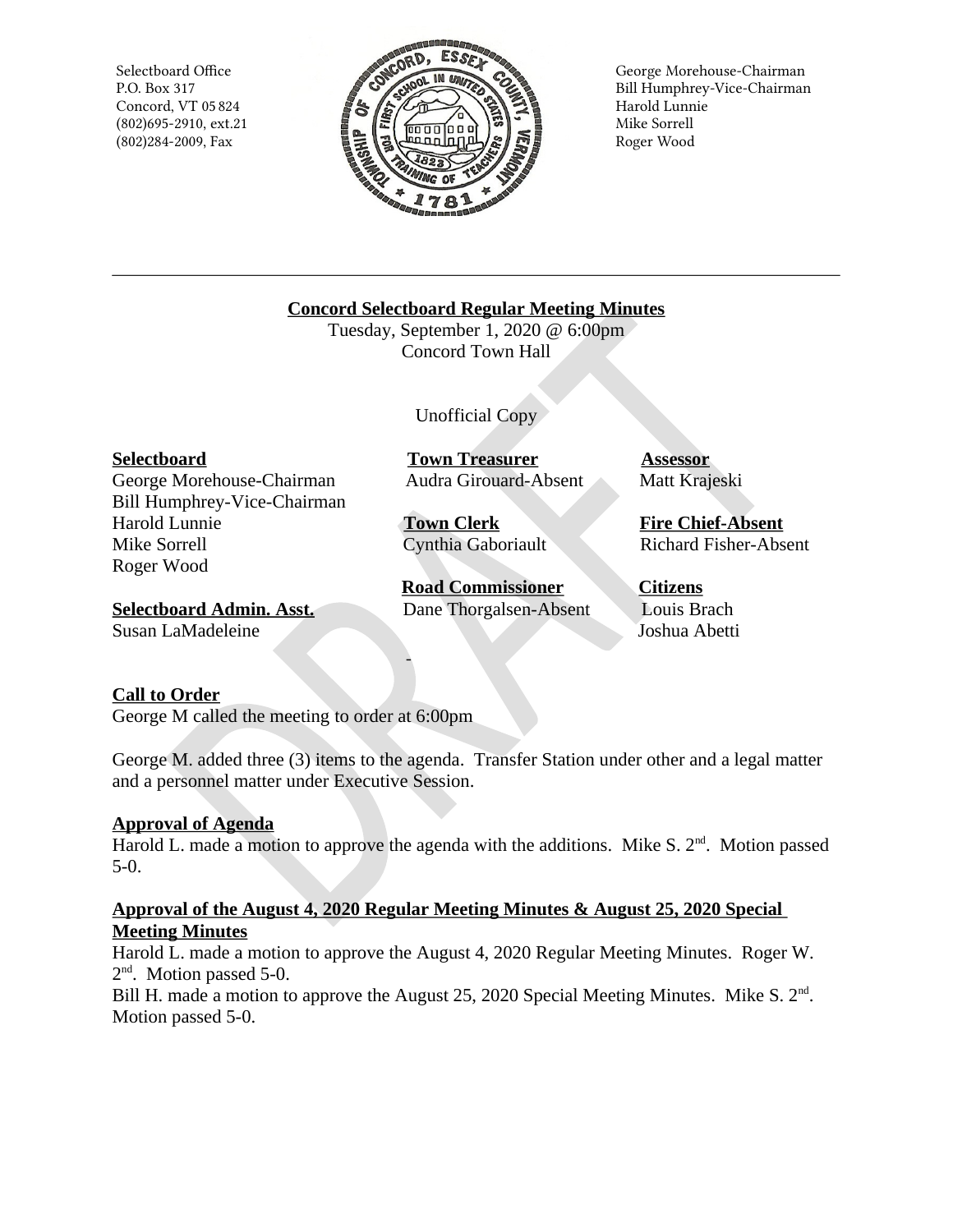Selectboard Office P.O. Box 317 Concord, VT 05 824  $(802)695 - 2910$ , ext.21 (802)284-2009, Fax



George Morehouse-Chairman Bill Humphrey-Vice-Chairman Harold Lunnie Mike Sorrell Roger Wood

**Concord Selectboard Regular Meeting Minutes** 

Tuesday, September 1, 2020 @ 6:00pm Concord Town Hall

Unofficial Copy

## **Selectboard**

George Morehouse-Chairman Bill Humphrey-Vice-Chairman Harold Lunnie Mike Sorrell Roger Wood

**Town Treasurer Audra Girouard-Absent** 

**Town Clerk** Cynthia Gaboriault

**Road Commissioner** Dane Thorgalsen-Absent **Assessor** Matt Krajeski

**Fire Chief-Absent Richard Fisher-Absent** 

**Selectboard Admin. Asst.** Susan LaMadeleine

**Citizens** Louis Brach Joshua Abetti

# **Call to Order**

George M called the meeting to order at 6:00pm

George M. added three (3) items to the agenda. Transfer Station under other and a legal matter and a personnel matter under Executive Session.

## **Approval of Agenda**

Harold L. made a motion to approve the agenda with the additions. Mike S.  $2<sup>nd</sup>$ . Motion passed  $5-0.$ 

## Approval of the August 4, 2020 Regular Meeting Minutes & August 25, 2020 Special **Meeting Minutes**

Harold L. made a motion to approve the August 4, 2020 Regular Meeting Minutes. Roger W.  $2<sup>nd</sup>$ . Motion passed 5-0.

Bill H. made a motion to approve the August 25, 2020 Special Meeting Minutes. Mike S. 2<sup>nd</sup>. Motion passed 5-0.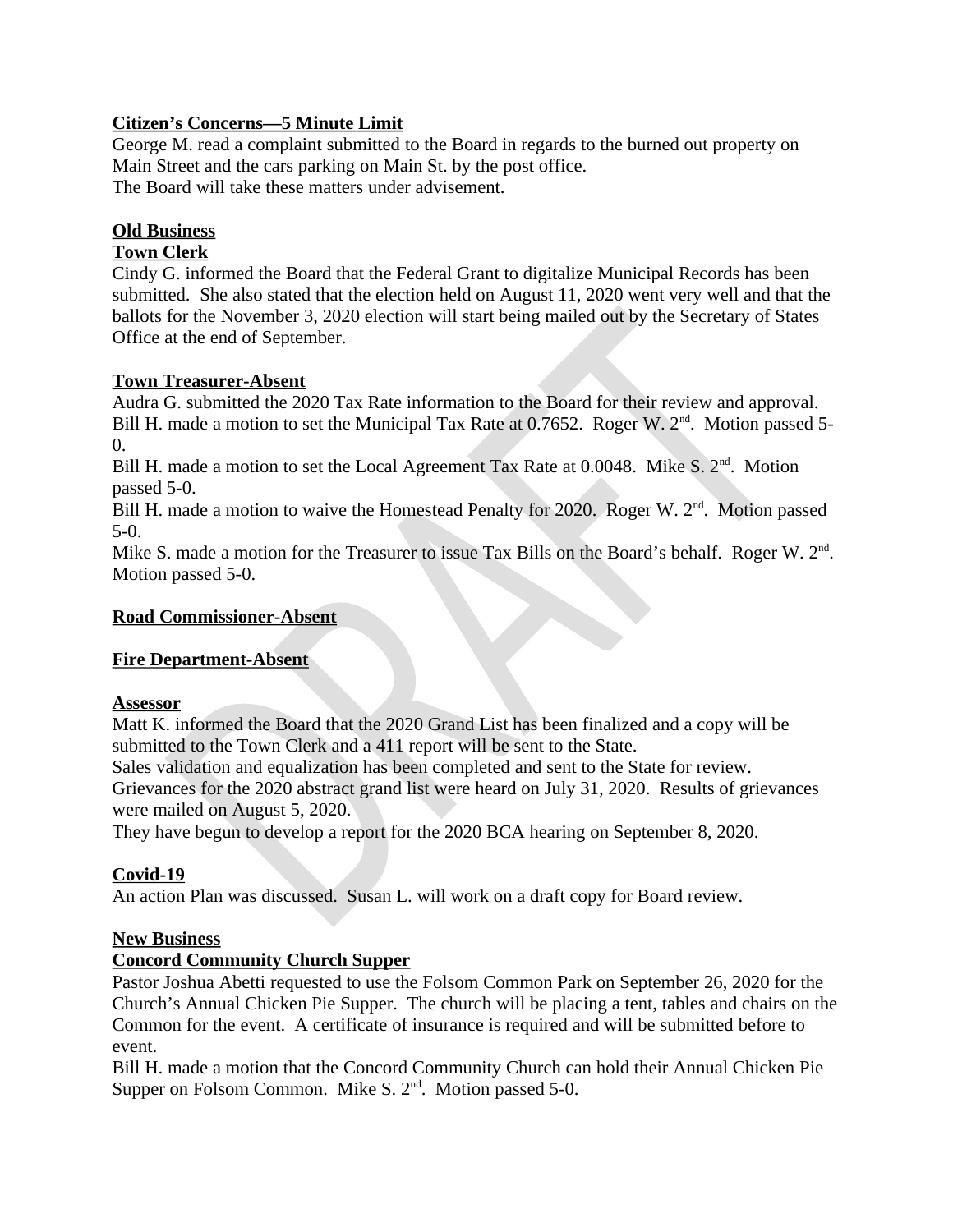## **Citizen's Concerns-5 Minute Limit**

George M. read a complaint submitted to the Board in regards to the burned out property on Main Street and the cars parking on Main St. by the post office. The Board will take these matters under advisement.

# **Old Business**

# **Town Clerk**

Cindy G. informed the Board that the Federal Grant to digitalize Municipal Records has been submitted. She also stated that the election held on August 11, 2020 went very well and that the ballots for the November 3, 2020 election will start being mailed out by the Secretary of States Office at the end of September.

# **Town Treasurer-Absent**

Audra G. submitted the 2020 Tax Rate information to the Board for their review and approval. Bill H. made a motion to set the Municipal Tax Rate at 0.7652. Roger W. 2<sup>nd</sup>. Motion passed 5- $0.$ 

Bill H, made a motion to set the Local Agreement Tax Rate at 0.0048. Mike S, 2<sup>nd</sup>, Motion passed 5-0.

Bill H. made a motion to waive the Homestead Penalty for 2020. Roger W. 2<sup>nd</sup>. Motion passed  $5-0.$ 

Mike S. made a motion for the Treasurer to issue Tax Bills on the Board's behalf. Roger W. 2<sup>nd</sup>. Motion passed 5-0.

## **Road Commissioner-Absent**

## **Fire Department-Absent**

## **Assessor**

Matt K. informed the Board that the 2020 Grand List has been finalized and a copy will be submitted to the Town Clerk and a 411 report will be sent to the State.

Sales validation and equalization has been completed and sent to the State for review. Grievances for the 2020 abstract grand list were heard on July 31, 2020. Results of grievances were mailed on August 5, 2020.

They have begun to develop a report for the 2020 BCA hearing on September 8, 2020.

# Covid-19

An action Plan was discussed. Susan L. will work on a draft copy for Board review.

## **New Business**

## **Concord Community Church Supper**

Pastor Joshua Abetti requested to use the Folsom Common Park on September 26, 2020 for the Church's Annual Chicken Pie Supper. The church will be placing a tent, tables and chairs on the Common for the event. A certificate of insurance is required and will be submitted before to event.

Bill H. made a motion that the Concord Community Church can hold their Annual Chicken Pie Supper on Folsom Common. Mike S. 2<sup>nd</sup>. Motion passed 5-0.